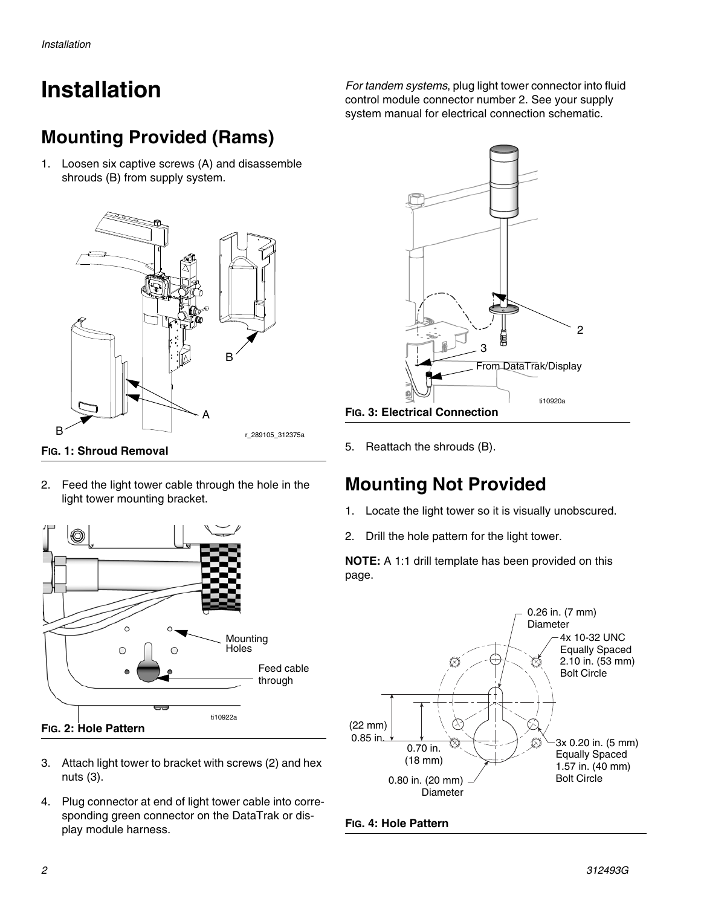# **Installation**

### **Mounting Provided (Rams)**

1. Loosen six captive screws (A) and disassemble shrouds (B) from supply system.



- 
- 2. Feed the light tower cable through the hole in the light tower mounting bracket.



- <span id="page-1-0"></span>3. Attach light tower to bracket with screws (2) and hex nuts (3).
- 4. Plug connector at end of light tower cable into corresponding green connector on the DataTrak or display module harness.

*For tandem systems*, plug light tower connector into fluid control module connector number 2. See your supply system manual for electrical connection schematic.



5. Reattach the shrouds (B).

### **Mounting Not Provided**

- 1. Locate the light tower so it is visually unobscured.
- 2. Drill the hole pattern for the light tower.

**NOTE:** A 1:1 drill template has been provided on this page.



#### **FIG. 4: Hole Pattern**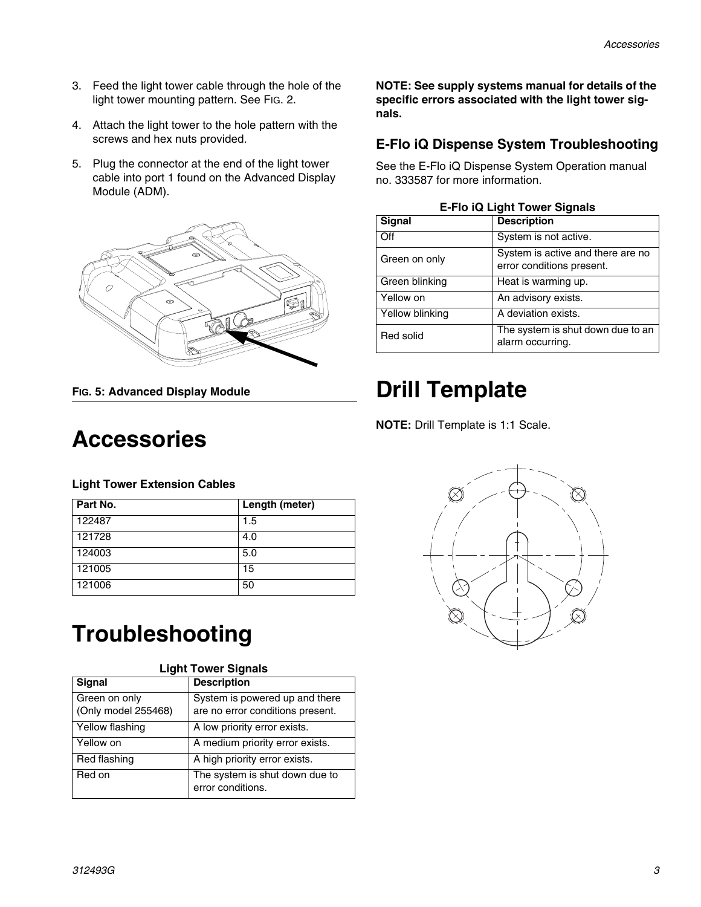- 3. Feed the light tower cable through the hole of the light tower mounting pattern. See [FIG. 2](#page-1-0).
- 4. Attach the light tower to the hole pattern with the screws and hex nuts provided.
- 5. Plug the connector at the end of the light tower cable into port 1 found on the Advanced Display Module (ADM).



**FIG. 5: Advanced Display Module**

## **Accessories**

#### **Light Tower Extension Cables**

| Part No. | Length (meter) |
|----------|----------------|
| 122487   | 1.5            |
| 121728   | 4.0            |
| 124003   | 5.0            |
| 121005   | 15             |
| 121006   | 50             |

## **Troubleshooting**

| <b>Light Tower Signals</b>           |                                                                    |  |
|--------------------------------------|--------------------------------------------------------------------|--|
| <b>Signal</b>                        | <b>Description</b>                                                 |  |
| Green on only<br>(Only model 255468) | System is powered up and there<br>are no error conditions present. |  |
| Yellow flashing                      | A low priority error exists.                                       |  |
| Yellow on                            | A medium priority error exists.                                    |  |
| Red flashing                         | A high priority error exists.                                      |  |
| Red on                               | The system is shut down due to<br>error conditions.                |  |

**NOTE: See supply systems manual for details of the specific errors associated with the light tower signals.**

#### **E-Flo iQ Dispense System Troubleshooting**

See the E-Flo iQ Dispense System Operation manual no. 333587 for more information.

| <b>E-Flo iQ Light Tower Signals</b> |                                                                |  |
|-------------------------------------|----------------------------------------------------------------|--|
| Signal                              | <b>Description</b>                                             |  |
| Off                                 | System is not active.                                          |  |
| Green on only                       | System is active and there are no<br>error conditions present. |  |
| Green blinking                      | Heat is warming up.                                            |  |
| Yellow on                           | An advisory exists.                                            |  |
| Yellow blinking                     | A deviation exists.                                            |  |
| Red solid                           | The system is shut down due to an<br>alarm occurring.          |  |

## **Drill Template**

**NOTE:** Drill Template is 1:1 Scale.